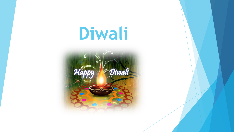## **Diwali**

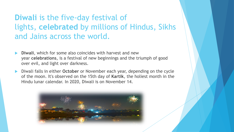## **Diwali** is the five-day festival of lights, **celebrated** by millions of Hindus, Sikhs and Jains across the world.

- **Diwali**, which for some also coincides with harvest and new year **celebrations**, is a festival of new beginnings and the triumph of good over evil, and light over darkness.
- Diwali falls in either **October** or November each year, depending on the cycle of the moon. It's observed on the 15th day of **Kartik**, the holiest month in the Hindu lunar calendar. In 2020, Diwali is on November 14.

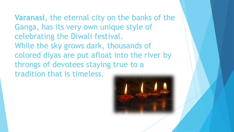**Varanasi**, the eternal city on the banks of the Ganga, has its very own unique style of celebrating the Diwali festival. While the sky grows dark, thousands of colored diyas are put afloat into the river by throngs of devotees staying true to a tradition that is timeless.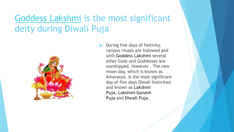## [Goddess Lakshmi](https://www.drikpanchang.com/hindu-goddesses/lakshmi/maha-lakshmi.html) is the most significant deity during Diwali Puja



 During five days of festivity, various rituals are followed and with **Goddess Lakshmi** several other Gods and Goddesses are worshipped. However . The new moon day, which is known as Amavasya, is the most significant day of five days Diwali festivities and known as **Lakshmi Puja**, **Lakshmi-Ganesh Puja** and **Diwali Puja.**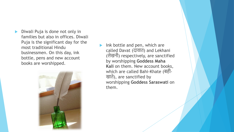Diwali Puja is done not only in families but also in offices. Diwali Puja is the significant day for the most traditional Hindu businessmen. On this day, ink bottle, pens and new account books are worshipped.



 Ink bottle and pen, which are called Davat (दावात) and Lekhani (लेखनी) respectively, are sanctified by worshipping **Goddess Maha Kali** on them. New account books, which are called Bahi-Khate (बही- खाते), are sanctified by worshipping **Goddess Saraswati** on them.